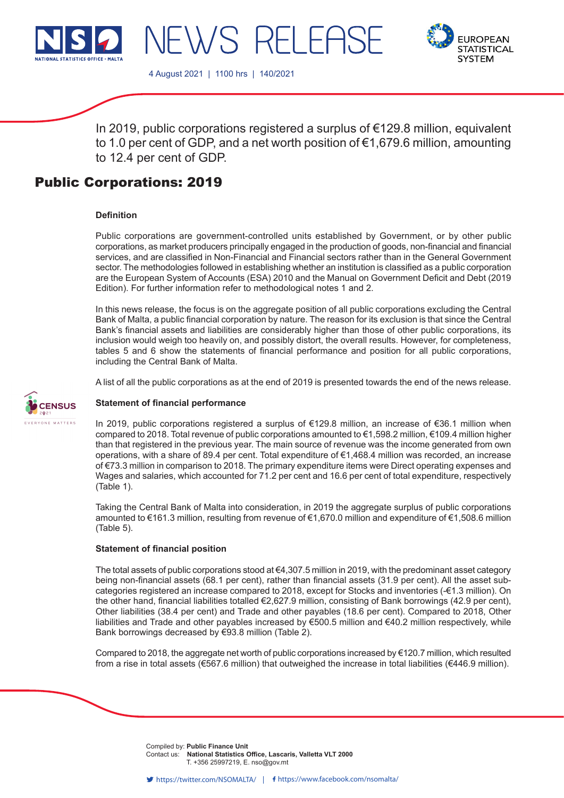



NEWS RELEASE

In 2019, public corporations registered a surplus of €129.8 million, equivalent to 1.0 per cent of GDP, and a net worth position of €1,679.6 million, amounting to 12.4 per cent of GDP.

# Public Corporations: 2019

#### **Definition**

Public corporations are government-controlled units established by Government, or by other public corporations, as market producers principally engaged in the production of goods, non-financial and financial services, and are classified in Non-Financial and Financial sectors rather than in the General Government sector. The methodologies followed in establishing whether an institution is classified as a public corporation are the European System of Accounts (ESA) 2010 and the Manual on Government Deficit and Debt (2019 Edition). For further information refer to methodological notes 1 and 2.

In this news release, the focus is on the aggregate position of all public corporations excluding the Central Bank of Malta, a public financial corporation by nature. The reason for its exclusion is that since the Central Bank's financial assets and liabilities are considerably higher than those of other public corporations, its inclusion would weigh too heavily on, and possibly distort, the overall results. However, for completeness, tables 5 and 6 show the statements of financial performance and position for all public corporations, including the Central Bank of Malta.

A list of all the public corporations as at the end of 2019 is presented towards the end of the news release.



#### **Statement of financial performance**

In 2019, public corporations registered a surplus of €129.8 million, an increase of €36.1 million when compared to 2018. Total revenue of public corporations amounted to €1,598.2 million, €109.4 million higher than that registered in the previous year. The main source of revenue was the income generated from own operations, with a share of 89.4 per cent. Total expenditure of €1,468.4 million was recorded, an increase of €73.3 million in comparison to 2018. The primary expenditure items were Direct operating expenses and Wages and salaries, which accounted for 71.2 per cent and 16.6 per cent of total expenditure, respectively (Table 1).

Taking the Central Bank of Malta into consideration, in 2019 the aggregate surplus of public corporations amounted to €161.3 million, resulting from revenue of €1,670.0 million and expenditure of €1,508.6 million (Table 5).

#### **Statement of financial position**

The total assets of public corporations stood at €4,307.5 million in 2019, with the predominant asset category being non-financial assets (68.1 per cent), rather than financial assets (31.9 per cent). All the asset subcategories registered an increase compared to 2018, except for Stocks and inventories (€1.3 million). On the other hand, financial liabilities totalled €2,627.9 million, consisting of Bank borrowings (42.9 per cent), Other liabilities (38.4 per cent) and Trade and other payables (18.6 per cent). Compared to 2018, Other liabilities and Trade and other payables increased by €500.5 million and €40.2 million respectively, while Bank borrowings decreased by €93.8 million (Table 2).

Compared to 2018, the aggregate net worth of public corporations increased by €120.7 million, which resulted from a rise in total assets (€567.6 million) that outweighed the increase in total liabilities (€446.9 million).

> Compiled by: Public Finance Unit Contact us: **National Statistics Office, Lascaris, Valletta VLT 2000**<br>
> T +356.25997219 E nso@gov.mt T. +356 25997219, E. nso@gov.mt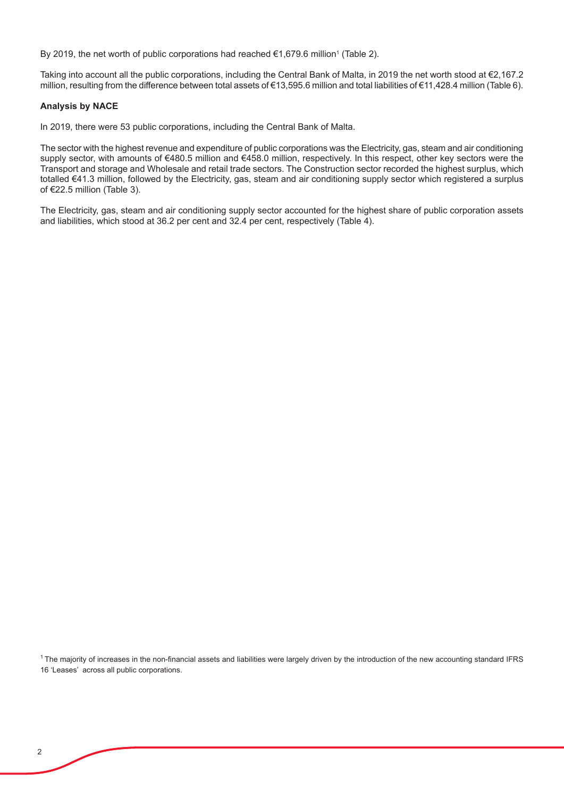By 2019, the net worth of public corporations had reached €1,679.6 million1 (Table 2).

Taking into account all the public corporations, including the Central Bank of Malta, in 2019 the net worth stood at €2,167.2 million, resulting from the difference between total assets of €13,595.6 million and total liabilities of €11,428.4 million (Table 6).

#### **Analysis by NACE**

In 2019, there were 53 public corporations, including the Central Bank of Malta.

The sector with the highest revenue and expenditure of public corporations was the Electricity, gas, steam and air conditioning supply sector, with amounts of €480.5 million and €458.0 million, respectively. In this respect, other key sectors were the Transport and storage and Wholesale and retail trade sectors. The Construction sector recorded the highest surplus, which totalled €41.3 million, followed by the Electricity, gas, steam and air conditioning supply sector which registered a surplus of €22.5 million (Table 3).

The Electricity, gas, steam and air conditioning supply sector accounted for the highest share of public corporation assets and liabilities, which stood at 36.2 per cent and 32.4 per cent, respectively (Table 4).

<sup>1</sup>The majority of increases in the non-financial assets and liabilities were largely driven by the introduction of the new accounting standard IFRS 16 'Leases' across all public corporations.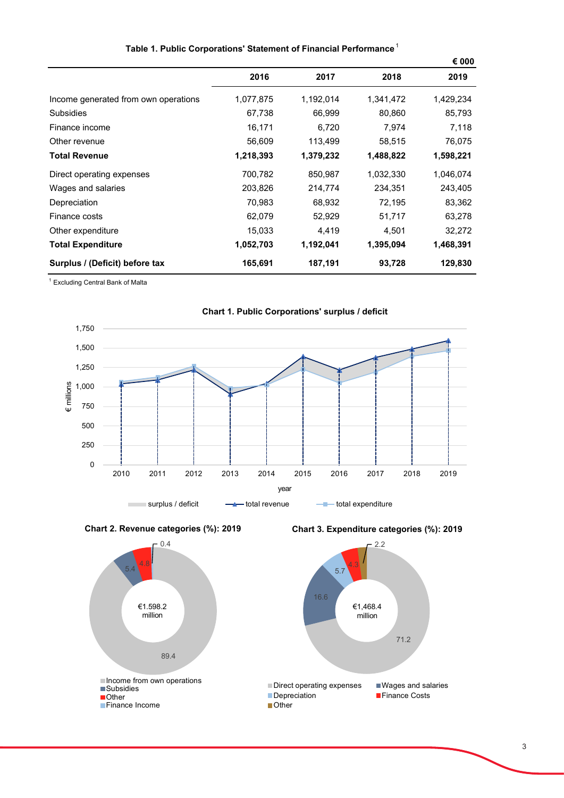| Table 1. Public Corporations' Statement of Financial Performance |           |           |           |           |  |  |  |
|------------------------------------------------------------------|-----------|-----------|-----------|-----------|--|--|--|
|                                                                  |           | € 000     |           |           |  |  |  |
|                                                                  | 2016      | 2017      | 2018      | 2019      |  |  |  |
| Income generated from own operations                             | 1,077,875 | 1,192,014 | 1,341,472 | 1,429,234 |  |  |  |
| Subsidies                                                        | 67,738    | 66,999    | 80,860    | 85,793    |  |  |  |
| Finance income                                                   | 16,171    | 6,720     | 7,974     | 7,118     |  |  |  |
| Other revenue                                                    | 56,609    | 113,499   | 58,515    | 76,075    |  |  |  |
| Total Revenue                                                    | 1,218,393 | 1,379,232 | 1,488,822 | 1,598,221 |  |  |  |
| Direct operating expenses                                        | 700,782   | 850,987   | 1,032,330 | 1,046,074 |  |  |  |
| Wages and salaries                                               | 203,826   | 214,774   | 234,351   | 243,405   |  |  |  |
| Depreciation                                                     | 70,983    | 68,932    | 72,195    | 83,362    |  |  |  |
| Finance costs                                                    | 62.079    | 52,929    | 51,717    | 63,278    |  |  |  |

Other expenditure 15,033 4,419 4,501 32,272 **Total Expenditure 1,052,703 1,192,041 1,395,094 1,468,391**

**Surplus / (Deficit) before tax 165,691 187,191 93,728 129,830**

1 Excluding Central Bank of Malta







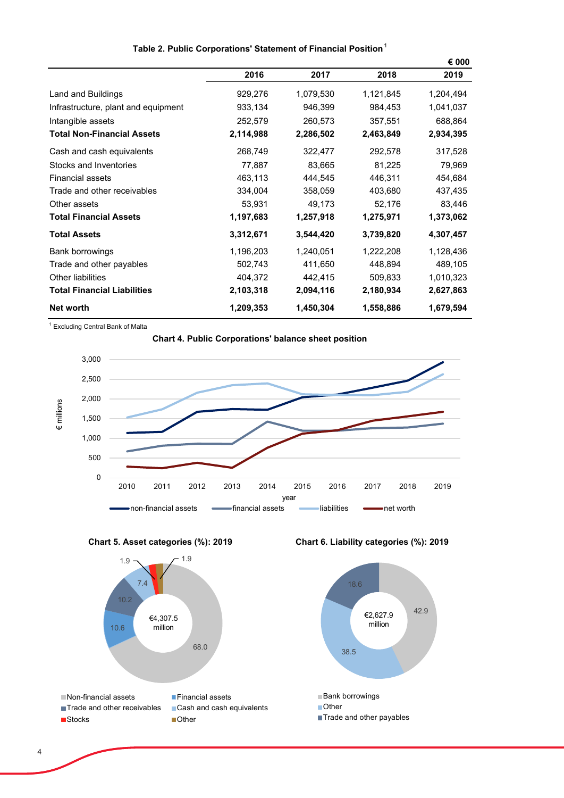| Table 2. Public Corporations' Statement of Financial Position |  |  |  |  |  |
|---------------------------------------------------------------|--|--|--|--|--|
|---------------------------------------------------------------|--|--|--|--|--|

|                                     |           |           |           | € 000     |
|-------------------------------------|-----------|-----------|-----------|-----------|
|                                     | 2016      | 2017      | 2018      | 2019      |
| Land and Buildings                  | 929,276   | 1,079,530 | 1,121,845 | 1,204,494 |
| Infrastructure, plant and equipment | 933,134   | 946,399   | 984,453   | 1,041,037 |
| Intangible assets                   | 252,579   | 260,573   | 357,551   | 688,864   |
| <b>Total Non-Financial Assets</b>   | 2,114,988 | 2,286,502 | 2,463,849 | 2,934,395 |
| Cash and cash equivalents           | 268,749   | 322,477   | 292,578   | 317,528   |
| Stocks and Inventories              | 77,887    | 83,665    | 81,225    | 79,969    |
| <b>Financial assets</b>             | 463,113   | 444,545   | 446,311   | 454,684   |
| Trade and other receivables         | 334,004   | 358,059   | 403,680   | 437,435   |
| Other assets                        | 53,931    | 49,173    | 52,176    | 83,446    |
| <b>Total Financial Assets</b>       | 1,197,683 | 1,257,918 | 1,275,971 | 1,373,062 |
| <b>Total Assets</b>                 | 3,312,671 | 3,544,420 | 3,739,820 | 4,307,457 |
| Bank borrowings                     | 1,196,203 | 1,240,051 | 1,222,208 | 1,128,436 |
| Trade and other payables            | 502,743   | 411,650   | 448,894   | 489,105   |
| Other liabilities                   | 404,372   | 442,415   | 509,833   | 1,010,323 |
| <b>Total Financial Liabilities</b>  | 2,103,318 | 2,094,116 | 2,180,934 | 2,627,863 |
| <b>Net worth</b>                    | 1,209,353 | 1,450,304 | 1,558,886 | 1,679,594 |

1 Excluding Central Bank of Malta







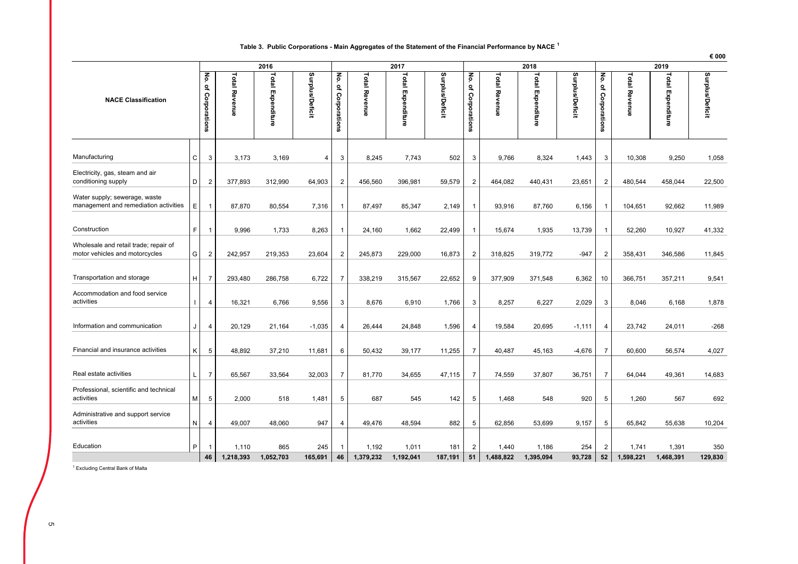#### **Table 3. Public Corporations - Main Aggregates of the Statement of the Financial Performance by NACE <sup>1</sup>**

|                                                                         |              |                        |                      |                          |                        |                        |                      |                   |                        |                        |                      |                          |                        |                        |                      |                          | € 000           |
|-------------------------------------------------------------------------|--------------|------------------------|----------------------|--------------------------|------------------------|------------------------|----------------------|-------------------|------------------------|------------------------|----------------------|--------------------------|------------------------|------------------------|----------------------|--------------------------|-----------------|
|                                                                         |              |                        |                      | 2016                     |                        |                        |                      | 2017              |                        |                        |                      | 2018                     |                        |                        |                      | 2019                     |                 |
| <b>NACE Classification</b>                                              |              | No.<br>of Corporations | <b>Total Revenue</b> | <b>Total Expenditure</b> | <b>Surplus/Deficit</b> | No.<br>of Corporations | <b>Total Revenue</b> | Total Expenditure | <b>Surplus/Deficit</b> | No.<br>of Corporations | <b>Total Revenue</b> | <b>Total Expenditure</b> | <b>Surplus/Deficit</b> | No.<br>of Corporations | <b>Total Revenue</b> | <b>Total Expenditure</b> | Surplus/Deficit |
| Manufacturing                                                           | C            | 3                      | 3,173                | 3,169                    | 4                      | 3                      | 8,245                | 7,743             | 502                    | 3                      | 9,766                | 8,324                    | 1,443                  | 3                      | 10,308               | 9,250                    | 1,058           |
| Electricity, gas, steam and air<br>conditioning supply                  | D            | $\overline{2}$         | 377,893              | 312,990                  | 64,903                 | 2                      | 456,560              | 396,981           | 59,579                 | $\overline{2}$         | 464,082              | 440,431                  | 23,651                 | 2                      | 480,544              | 458,044                  | 22,500          |
| Water supply; sewerage, waste<br>management and remediation activities  | E.           | $\overline{1}$         | 87,870               | 80,554                   | 7,316                  | $\overline{1}$         | 87,497               | 85,347            | 2,149                  | $\mathbf{1}$           | 93,916               | 87,760                   | 6,156                  |                        | 104,651              | 92,662                   | 11,989          |
| Construction                                                            | F.           | $\mathbf 1$            | 9.996                | 1,733                    | 8,263                  |                        | 24,160               | 1,662             | 22,499                 |                        | 15,674               | 1,935                    | 13,739                 |                        | 52,260               | 10,927                   | 41,332          |
| Wholesale and retail trade; repair of<br>motor vehicles and motorcycles | G            | $\overline{c}$         | 242,957              | 219,353                  | 23,604                 | $\overline{2}$         | 245,873              | 229,000           | 16,873                 | $\overline{2}$         | 318,825              | 319,772                  | $-947$                 | 2                      | 358,431              | 346,586                  | 11,845          |
| Transportation and storage                                              | H            | $\overline{7}$         | 293,480              | 286,758                  | 6,722                  | $\overline{7}$         | 338,219              | 315,567           | 22,652                 | 9                      | 377,909              | 371,548                  | 6,362                  | 10                     | 366,751              | 357,211                  | 9,541           |
| Accommodation and food service<br>activities                            | $\mathbf{I}$ | $\overline{4}$         | 16,321               | 6,766                    | 9,556                  | 3                      | 8,676                | 6,910             | 1,766                  | 3                      | 8,257                | 6,227                    | 2,029                  | 3                      | 8,046                | 6,168                    | 1,878           |
| Information and communication                                           | J            | $\overline{4}$         | 20,129               | 21,164                   | $-1,035$               | 4                      | 26,444               | 24,848            | 1,596                  | $\overline{4}$         | 19,584               | 20,695                   | $-1,111$               | $\overline{4}$         | 23,742               | 24,011                   | $-268$          |
| Financial and insurance activities                                      | K            | 5                      | 48,892               | 37,210                   | 11,681                 | 6                      | 50,432               | 39,177            | 11,255                 | $\overline{7}$         | 40,487               | 45,163                   | $-4,676$               | 7                      | 60,600               | 56,574                   | 4,027           |
| Real estate activities                                                  | L            | $\overline{7}$         | 65,567               | 33,564                   | 32,003                 | $\overline{7}$         | 81,770               | 34,655            | 47,115                 | $\overline{7}$         | 74,559               | 37,807                   | 36,751                 | $\overline{7}$         | 64,044               | 49,361                   | 14,683          |
| Professional, scientific and technical<br>activities                    | M            | $\sqrt{5}$             | 2,000                | 518                      | 1,481                  | 5                      | 687                  | 545               | 142                    | 5                      | 1,468                | 548                      | 920                    | 5                      | 1,260                | 567                      | 692             |
| Administrative and support service<br>activities                        | N            | $\overline{4}$         | 49,007               | 48,060                   | 947                    | 4                      | 49,476               | 48,594            | 882                    | 5                      | 62,856               | 53,699                   | 9,157                  | 5                      | 65,842               | 55,638                   | 10,204          |
| Education                                                               | P            | -1                     | 1,110                | 865                      | 245                    |                        | 1,192                | 1,011             | 181                    | $\overline{2}$         | 1,440                | 1,186                    | 254                    | 2                      | 1,741                | 1,391                    | 350             |
|                                                                         |              | 46                     | 1,218,393            | 1,052,703                | 165,691                | 46                     | 1,379,232            | 1,192,041         | 187,191                | 51                     | 1,488,822            | 1,395,094                | 93,728                 | 52                     | 1,598,221            | 1,468,391                | 129,830         |

1 Excluding Central Bank of Malta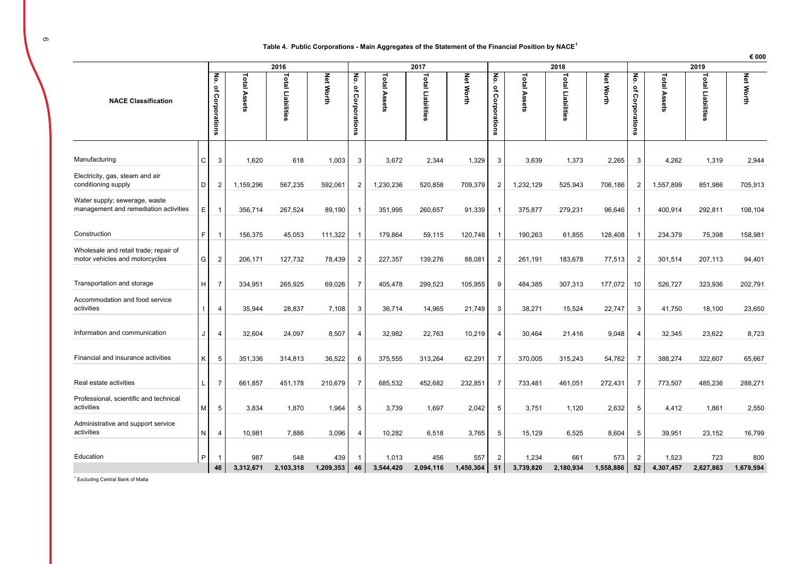#### **Table 4. Public Corporations - Main Aggregates of the Statement of the Financial Position by NACE<sup>1</sup>**

|                                                                         |              |                           |                     | 2016              |                  |                          |              | 2017              |                  |                           |              | 2018              |                  |                          |              | 2019              |                  |
|-------------------------------------------------------------------------|--------------|---------------------------|---------------------|-------------------|------------------|--------------------------|--------------|-------------------|------------------|---------------------------|--------------|-------------------|------------------|--------------------------|--------------|-------------------|------------------|
| <b>NACE Classification</b>                                              |              | No.<br>٩,<br>Corporations | <b>Total Assets</b> | Total Liabilities | <b>Net Worth</b> | No.<br>٩<br>Corporations | Total Assets | Total Liabilities | <b>Net Worth</b> | No.<br>٩,<br>Corporations | Total Assets | Total Liabilities | <b>Net Worth</b> | No.<br>٩<br>Corporations | Total Assets | Total Liabilities | <b>Net Worth</b> |
| Manufacturing                                                           | С            | 3                         | 1,620               | 618               | 1,003            | 3                        | 3,672        | 2,344             | 1,329            | 3                         | 3,639        | 1,373             | 2,265            | 3                        | 4,262        | 1,319             | 2,944            |
| Electricity, gas, steam and air<br>conditioning supply                  | D            | $\overline{2}$            | 1,159,296           | 567,235           | 592,061          | $\overline{2}$           | 1,230,236    | 520,858           | 709,379          | $\overline{2}$            | 1,232,129    | 525,943           | 706,186          | $\overline{2}$           | 1,557,899    | 851,986           | 705,913          |
| Water supply; sewerage, waste<br>management and remediation activities  | Ε            | $\overline{1}$            | 356,714             | 267,524           | 89,190           | -1                       | 351,995      | 260,657           | 91,339           | $\mathbf{1}$              | 375,877      | 279,231           | 96,646           | $\overline{1}$           | 400,914      | 292,811           | 108,104          |
| Construction                                                            | F.           | $\overline{1}$            | 156,375             | 45.053            | 111,322          | -1                       | 179,864      | 59,115            | 120,748          | $\mathbf{1}$              | 190,263      | 61.855            | 128,408          | $\mathbf{1}$             | 234,379      | 75,398            | 158,981          |
| Wholesale and retail trade; repair of<br>motor vehicles and motorcycles | G            | $\overline{2}$            | 206,171             | 127,732           | 78,439           | $\overline{2}$           | 227,357      | 139,276           | 88,081           | $\overline{2}$            | 261,191      | 183,678           | 77,513           | $\overline{2}$           | 301,514      | 207,113           | 94,401           |
| Transportation and storage                                              | H            | $\overline{7}$            | 334,951             | 265.925           | 69,026           | 7                        | 405,478      | 299,523           | 105,955          | 9                         | 484,385      | 307,313           | 177,072          | 10                       | 526,727      | 323,936           | 202,791          |
| Accommodation and food service<br>activities                            |              | $\overline{4}$            | 35,944              | 28,837            | 7,108            | 3                        | 36,714       | 14,965            | 21,749           | 3                         | 38,271       | 15,524            | 22,747           | 3                        | 41,750       | 18,100            | 23,650           |
| Information and communication                                           | J            | $\overline{4}$            | 32,604              | 24,097            | 8,507            | $\overline{4}$           | 32,982       | 22,763            | 10,219           | 4                         | 30,464       | 21,416            | 9,048            | 4                        | 32,345       | 23,622            | 8,723            |
| Financial and insurance activities                                      | Κ            | 5                         | 351,336             | 314,813           | 36,522           | 6                        | 375,555      | 313,264           | 62,291           | $\overline{7}$            | 370,005      | 315,243           | 54,762           | $\overline{7}$           | 388,274      | 322,607           | 65,667           |
| Real estate activities                                                  | $\mathbf{I}$ | $\overline{7}$            | 661,857             | 451,178           | 210,679          | $\overline{7}$           | 685,532      | 452,682           | 232,851          | $\overline{7}$            | 733,481      | 461,051           | 272,431          | $\overline{7}$           | 773,507      | 485,236           | 288,271          |
| Professional, scientific and technical<br>activities                    | М            | 5                         | 3,834               | 1,870             | 1,964            | 5                        | 3,739        | 1,697             | 2,042            | 5                         | 3,751        | 1,120             | 2,632            | 5                        | 4,412        | 1,861             | 2,550            |
| Administrative and support service<br>activities                        | N            | $\overline{4}$            | 10,981              | 7,886             | 3,096            | 4                        | 10,282       | 6,518             | 3,765            | 5                         | 15,129       | 6,525             | 8,604            | 5                        | 39,951       | 23,152            | 16,799           |
| Education                                                               | P            | -1                        | 987                 | 548               | 439              | -1                       | 1,013        | 456               | 557              | $\overline{2}$            | 1,234        | 661               | 573              | $\overline{2}$           | 1,523        | 723               | 800              |
|                                                                         |              | 46                        | 3,312,671           | 2,103,318         | 1,209,353        | 46                       | 3,544,420    | 2,094,116         | 1,450,304        | 51                        | 3,739,820    | 2,180,934         | 1,558,886        | 52                       | 4,307,457    | 2,627,863         | 1,679,594        |

1 Excluding Central Bank of Malta

**€ 000**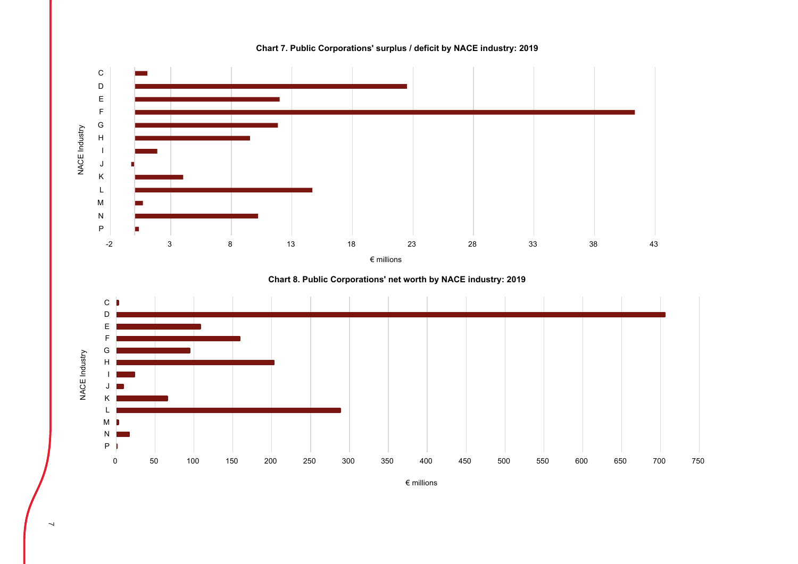

**Chart 7. Public Corporations' surplus / deficit by NACE industry: 2019**

**Chart 8. Public Corporations' net worth by NACE industry: 2019**



€ millions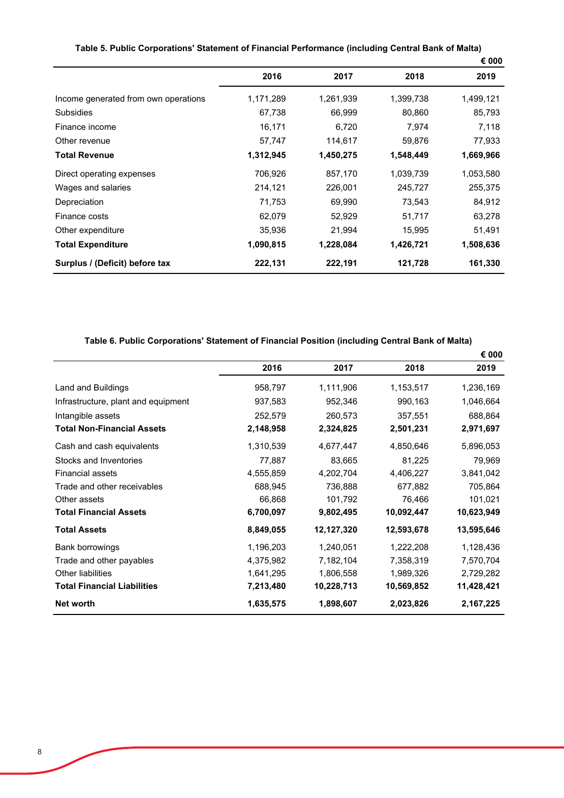|                                      |           |           |           | € 000     |
|--------------------------------------|-----------|-----------|-----------|-----------|
|                                      | 2016      | 2017      | 2018      | 2019      |
| Income generated from own operations | 1,171,289 | 1,261,939 | 1,399,738 | 1,499,121 |
| <b>Subsidies</b>                     | 67,738    | 66,999    | 80,860    | 85,793    |
| Finance income                       | 16,171    | 6,720     | 7,974     | 7,118     |
| Other revenue                        | 57,747    | 114,617   | 59,876    | 77,933    |
| <b>Total Revenue</b>                 | 1,312,945 | 1,450,275 | 1,548,449 | 1,669,966 |
| Direct operating expenses            | 706,926   | 857,170   | 1,039,739 | 1,053,580 |
| Wages and salaries                   | 214,121   | 226,001   | 245,727   | 255,375   |
| Depreciation                         | 71,753    | 69,990    | 73,543    | 84,912    |
| Finance costs                        | 62,079    | 52,929    | 51,717    | 63,278    |
| Other expenditure                    | 35,936    | 21,994    | 15,995    | 51,491    |
| <b>Total Expenditure</b>             | 1,090,815 | 1,228,084 | 1,426,721 | 1,508,636 |
| Surplus / (Deficit) before tax       | 222,131   | 222,191   | 121,728   | 161,330   |

## **Table 6. Public Corporations' Statement of Financial Position (including Central Bank of Malta)**

|                                     |           |            |            | € 000      |
|-------------------------------------|-----------|------------|------------|------------|
|                                     | 2016      | 2017       | 2018       | 2019       |
| Land and Buildings                  | 958,797   | 1,111,906  | 1,153,517  | 1,236,169  |
| Infrastructure, plant and equipment | 937,583   | 952,346    | 990,163    | 1,046,664  |
| Intangible assets                   | 252,579   | 260,573    | 357,551    | 688,864    |
| <b>Total Non-Financial Assets</b>   | 2,148,958 | 2,324,825  | 2,501,231  | 2,971,697  |
| Cash and cash equivalents           | 1,310,539 | 4,677,447  | 4,850,646  | 5,896,053  |
| Stocks and Inventories              | 77,887    | 83,665     | 81,225     | 79,969     |
| <b>Financial assets</b>             | 4,555,859 | 4,202,704  | 4,406,227  | 3,841,042  |
| Trade and other receivables         | 688,945   | 736,888    | 677,882    | 705,864    |
| Other assets                        | 66,868    | 101,792    | 76,466     | 101,021    |
| <b>Total Financial Assets</b>       | 6,700,097 | 9,802,495  | 10,092,447 | 10,623,949 |
| <b>Total Assets</b>                 | 8,849,055 | 12,127,320 | 12,593,678 | 13,595,646 |
| Bank borrowings                     | 1,196,203 | 1,240,051  | 1,222,208  | 1,128,436  |
| Trade and other payables            | 4,375,982 | 7,182,104  | 7,358,319  | 7,570,704  |
| <b>Other liabilities</b>            | 1,641,295 | 1,806,558  | 1,989,326  | 2,729,282  |
| <b>Total Financial Liabilities</b>  | 7,213,480 | 10,228,713 | 10,569,852 | 11,428,421 |
| Net worth                           | 1,635,575 | 1,898,607  | 2,023,826  | 2,167,225  |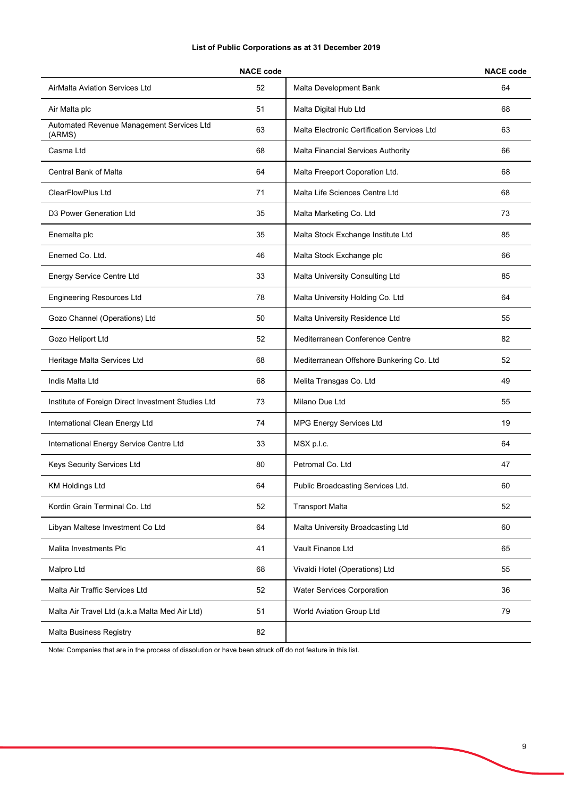### **List of Public Corporations as at 31 December 2019**

|                                                     | <b>NACE code</b> |                                             | <b>NACE code</b> |
|-----------------------------------------------------|------------------|---------------------------------------------|------------------|
| <b>AirMalta Aviation Services Ltd</b>               | 52               | Malta Development Bank                      | 64               |
| Air Malta plc                                       | 51               | Malta Digital Hub Ltd                       | 68               |
| Automated Revenue Management Services Ltd<br>(ARMS) | 63               | Malta Electronic Certification Services Ltd | 63               |
| Casma Ltd                                           | 68               | Malta Financial Services Authority          | 66               |
| Central Bank of Malta                               | 64               | Malta Freeport Coporation Ltd.              | 68               |
| ClearFlowPlus Ltd                                   | 71               | Malta Life Sciences Centre Ltd              | 68               |
| D3 Power Generation Ltd                             | 35               | Malta Marketing Co. Ltd                     | 73               |
| Enemalta plc                                        | 35               | Malta Stock Exchange Institute Ltd          | 85               |
| Enemed Co. Ltd.                                     | 46               | Malta Stock Exchange plc                    | 66               |
| <b>Energy Service Centre Ltd</b>                    | 33               | Malta University Consulting Ltd             | 85               |
| <b>Engineering Resources Ltd</b>                    | 78               | Malta University Holding Co. Ltd            | 64               |
| Gozo Channel (Operations) Ltd                       | 50               | Malta University Residence Ltd              | 55               |
| Gozo Heliport Ltd                                   | 52               | Mediterranean Conference Centre             | 82               |
| Heritage Malta Services Ltd                         | 68               | Mediterranean Offshore Bunkering Co. Ltd    | 52               |
| Indis Malta Ltd                                     | 68               | Melita Transgas Co. Ltd                     | 49               |
| Institute of Foreign Direct Investment Studies Ltd  | 73               | Milano Due Ltd                              | 55               |
| International Clean Energy Ltd                      | 74               | <b>MPG Energy Services Ltd</b>              | 19               |
| International Energy Service Centre Ltd             | 33               | MSX p.l.c.                                  | 64               |
| Keys Security Services Ltd                          | 80               | Petromal Co. Ltd                            | 47               |
| <b>KM Holdings Ltd</b>                              | 64               | Public Broadcasting Services Ltd.           | 60               |
| Kordin Grain Terminal Co. Ltd                       | 52               | <b>Transport Malta</b>                      | 52               |
| Libyan Maltese Investment Co Ltd                    | 64               | Malta University Broadcasting Ltd           | 60               |
| Malita Investments Plc                              | 41               | Vault Finance Ltd                           | 65               |
| Malpro Ltd                                          | 68               | Vivaldi Hotel (Operations) Ltd              | 55               |
| Malta Air Traffic Services Ltd                      | 52               | <b>Water Services Corporation</b>           | 36               |
| Malta Air Travel Ltd (a.k.a Malta Med Air Ltd)      | 51               | World Aviation Group Ltd                    | 79               |
| Malta Business Registry                             | 82               |                                             |                  |
|                                                     |                  |                                             |                  |

Note: Companies that are in the process of dissolution or have been struck off do not feature in this list.